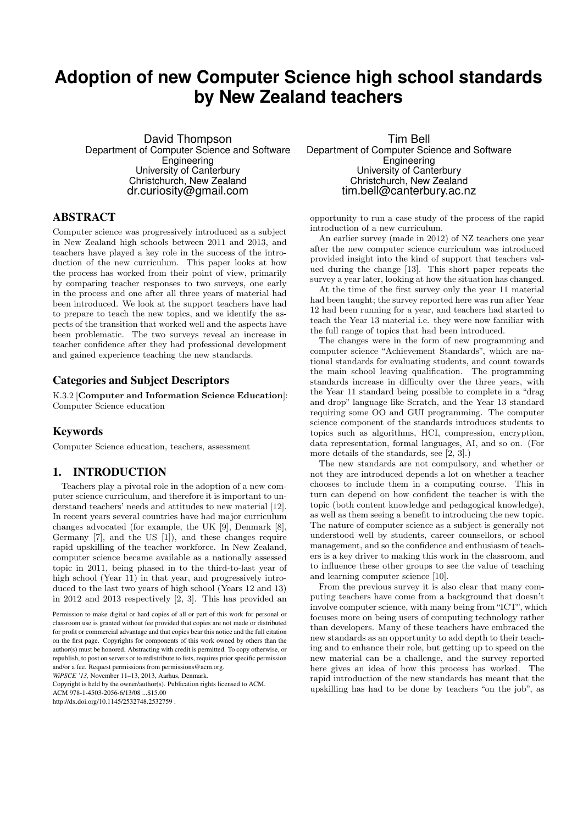# **Adoption of new Computer Science high school standards by New Zealand teachers**

David Thompson Department of Computer Science and Software **Engineering** University of Canterbury Christchurch, New Zealand dr.curiosity@gmail.com

#### ABSTRACT

Computer science was progressively introduced as a subject in New Zealand high schools between 2011 and 2013, and teachers have played a key role in the success of the introduction of the new curriculum. This paper looks at how the process has worked from their point of view, primarily by comparing teacher responses to two surveys, one early in the process and one after all three years of material had been introduced. We look at the support teachers have had to prepare to teach the new topics, and we identify the aspects of the transition that worked well and the aspects have been problematic. The two surveys reveal an increase in teacher confidence after they had professional development and gained experience teaching the new standards.

### Categories and Subject Descriptors

K.3.2 [Computer and Information Science Education]: Computer Science education

#### Keywords

Computer Science education, teachers, assessment

### 1. INTRODUCTION

Teachers play a pivotal role in the adoption of a new computer science curriculum, and therefore it is important to understand teachers' needs and attitudes to new material [12]. In recent years several countries have had major curriculum changes advocated (for example, the UK [9], Denmark [8], Germany [7], and the US [1]), and these changes require rapid upskilling of the teacher workforce. In New Zealand, computer science became available as a nationally assessed topic in 2011, being phased in to the third-to-last year of high school (Year 11) in that year, and progressively introduced to the last two years of high school (Years 12 and 13) in 2012 and 2013 respectively [2, 3]. This has provided an

Copyright is held by the owner/author(s). Publication rights licensed to ACM.

ACM 978-1-4503-2056-6/13/08 \$15.00

http://dx.doi.org/10.1145/2532748.2532759 .

Tim Bell Department of Computer Science and Software Engineering University of Canterbury Christchurch, New Zealand tim.bell@canterbury.ac.nz

opportunity to run a case study of the process of the rapid introduction of a new curriculum.

An earlier survey (made in 2012) of NZ teachers one year after the new computer science curriculum was introduced provided insight into the kind of support that teachers valued during the change [13]. This short paper repeats the survey a year later, looking at how the situation has changed.

At the time of the first survey only the year 11 material had been taught; the survey reported here was run after Year 12 had been running for a year, and teachers had started to teach the Year 13 material i.e. they were now familiar with the full range of topics that had been introduced.

The changes were in the form of new programming and computer science "Achievement Standards", which are national standards for evaluating students, and count towards the main school leaving qualification. The programming standards increase in difficulty over the three years, with the Year 11 standard being possible to complete in a "drag and drop" language like Scratch, and the Year 13 standard requiring some OO and GUI programming. The computer science component of the standards introduces students to topics such as algorithms, HCI, compression, encryption, data representation, formal languages, AI, and so on. (For more details of the standards, see [2, 3].)

The new standards are not compulsory, and whether or not they are introduced depends a lot on whether a teacher chooses to include them in a computing course. This in turn can depend on how confident the teacher is with the topic (both content knowledge and pedagogical knowledge), as well as them seeing a benefit to introducing the new topic. The nature of computer science as a subject is generally not understood well by students, career counsellors, or school management, and so the confidence and enthusiasm of teachers is a key driver to making this work in the classroom, and to influence these other groups to see the value of teaching and learning computer science [10].

From the previous survey it is also clear that many computing teachers have come from a background that doesn't involve computer science, with many being from "ICT", which focuses more on being users of computing technology rather than developers. Many of these teachers have embraced the new standards as an opportunity to add depth to their teaching and to enhance their role, but getting up to speed on the new material can be a challenge, and the survey reported here gives an idea of how this process has worked. The rapid introduction of the new standards has meant that the upskilling has had to be done by teachers "on the job", as

Permission to make digital or hard copies of all or part of this work for personal or classroom use is granted without fee provided that copies are not made or distributed for profit or commercial advantage and that copies bear this notice and the full citation on the first page. Copyrights for components of this work owned by others than the author(s) must be honored. Abstracting with credit is permitted. To copy otherwise, or republish, to post on servers or to redistribute to lists, requires prior specific permission and/or a fee. Request permissions from permissions@acm.org.

*WiPSCE '13,* November 11–13, 2013, Aarhus, Denmark.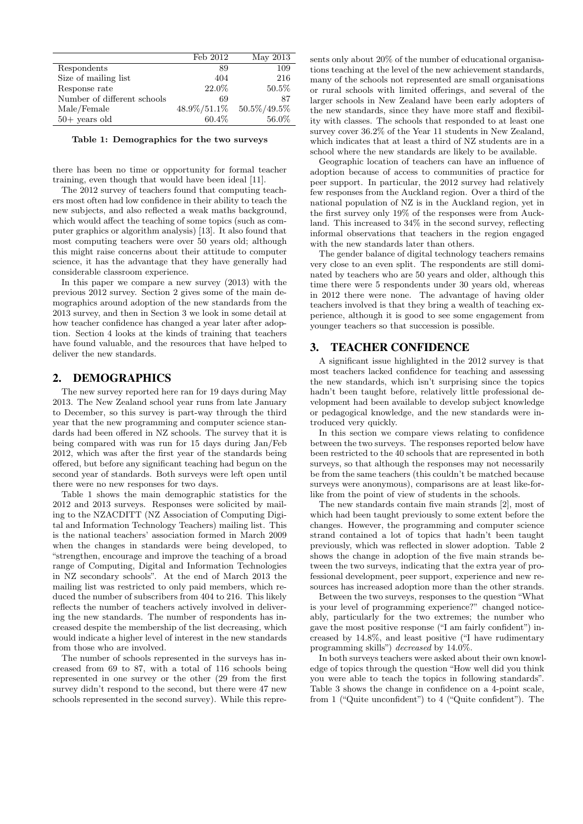|                             | Feb 2012    | May 2013    |
|-----------------------------|-------------|-------------|
| Respondents                 | 89          | 109         |
| Size of mailing list        | 404         | 216         |
| Response rate               | 22.0%       | 50.5%       |
| Number of different schools | 69          | 87          |
| Male/Female                 | 48.9%/51.1% | 50.5%/49.5% |
| $50+$ years old             | 60.4%       | 56.0%       |

Table 1: Demographics for the two surveys

there has been no time or opportunity for formal teacher training, even though that would have been ideal [11].

The 2012 survey of teachers found that computing teachers most often had low confidence in their ability to teach the new subjects, and also reflected a weak maths background, which would affect the teaching of some topics (such as computer graphics or algorithm analysis) [13]. It also found that most computing teachers were over 50 years old; although this might raise concerns about their attitude to computer science, it has the advantage that they have generally had considerable classroom experience.

In this paper we compare a new survey (2013) with the previous 2012 survey. Section 2 gives some of the main demographics around adoption of the new standards from the 2013 survey, and then in Section 3 we look in some detail at how teacher confidence has changed a year later after adoption. Section 4 looks at the kinds of training that teachers have found valuable, and the resources that have helped to deliver the new standards.

# 2. DEMOGRAPHICS

The new survey reported here ran for 19 days during May 2013. The New Zealand school year runs from late January to December, so this survey is part-way through the third year that the new programming and computer science standards had been offered in NZ schools. The survey that it is being compared with was run for 15 days during Jan/Feb 2012, which was after the first year of the standards being offered, but before any significant teaching had begun on the second year of standards. Both surveys were left open until there were no new responses for two days.

Table 1 shows the main demographic statistics for the 2012 and 2013 surveys. Responses were solicited by mailing to the NZACDITT (NZ Association of Computing Digital and Information Technology Teachers) mailing list. This is the national teachers' association formed in March 2009 when the changes in standards were being developed, to "strengthen, encourage and improve the teaching of a broad range of Computing, Digital and Information Technologies in NZ secondary schools". At the end of March 2013 the mailing list was restricted to only paid members, which reduced the number of subscribers from 404 to 216. This likely reflects the number of teachers actively involved in delivering the new standards. The number of respondents has increased despite the membership of the list decreasing, which would indicate a higher level of interest in the new standards from those who are involved.

The number of schools represented in the surveys has increased from 69 to 87, with a total of 116 schools being represented in one survey or the other (29 from the first survey didn't respond to the second, but there were 47 new schools represented in the second survey). While this repre-

sents only about 20% of the number of educational organisations teaching at the level of the new achievement standards, many of the schools not represented are small organisations or rural schools with limited offerings, and several of the larger schools in New Zealand have been early adopters of the new standards, since they have more staff and flexibility with classes. The schools that responded to at least one survey cover 36.2% of the Year 11 students in New Zealand, which indicates that at least a third of NZ students are in a school where the new standards are likely to be available.

Geographic location of teachers can have an influence of adoption because of access to communities of practice for peer support. In particular, the 2012 survey had relatively few responses from the Auckland region. Over a third of the national population of NZ is in the Auckland region, yet in the first survey only 19% of the responses were from Auckland. This increased to 34% in the second survey, reflecting informal observations that teachers in the region engaged with the new standards later than others.

The gender balance of digital technology teachers remains very close to an even split. The respondents are still dominated by teachers who are 50 years and older, although this time there were 5 respondents under 30 years old, whereas in 2012 there were none. The advantage of having older teachers involved is that they bring a wealth of teaching experience, although it is good to see some engagement from younger teachers so that succession is possible.

# 3. TEACHER CONFIDENCE

A significant issue highlighted in the 2012 survey is that most teachers lacked confidence for teaching and assessing the new standards, which isn't surprising since the topics hadn't been taught before, relatively little professional development had been available to develop subject knowledge or pedagogical knowledge, and the new standards were introduced very quickly.

In this section we compare views relating to confidence between the two surveys. The responses reported below have been restricted to the 40 schools that are represented in both surveys, so that although the responses may not necessarily be from the same teachers (this couldn't be matched because surveys were anonymous), comparisons are at least like-forlike from the point of view of students in the schools.

The new standards contain five main strands [2], most of which had been taught previously to some extent before the changes. However, the programming and computer science strand contained a lot of topics that hadn't been taught previously, which was reflected in slower adoption. Table 2 shows the change in adoption of the five main strands between the two surveys, indicating that the extra year of professional development, peer support, experience and new resources has increased adoption more than the other strands.

Between the two surveys, responses to the question "What is your level of programming experience?" changed noticeably, particularly for the two extremes; the number who gave the most positive response ("I am fairly confident") increased by 14.8%, and least positive ("I have rudimentary programming skills") decreased by 14.0%.

In both surveys teachers were asked about their own knowledge of topics through the question "How well did you think you were able to teach the topics in following standards". Table 3 shows the change in confidence on a 4-point scale, from 1 ("Quite unconfident") to 4 ("Quite confident"). The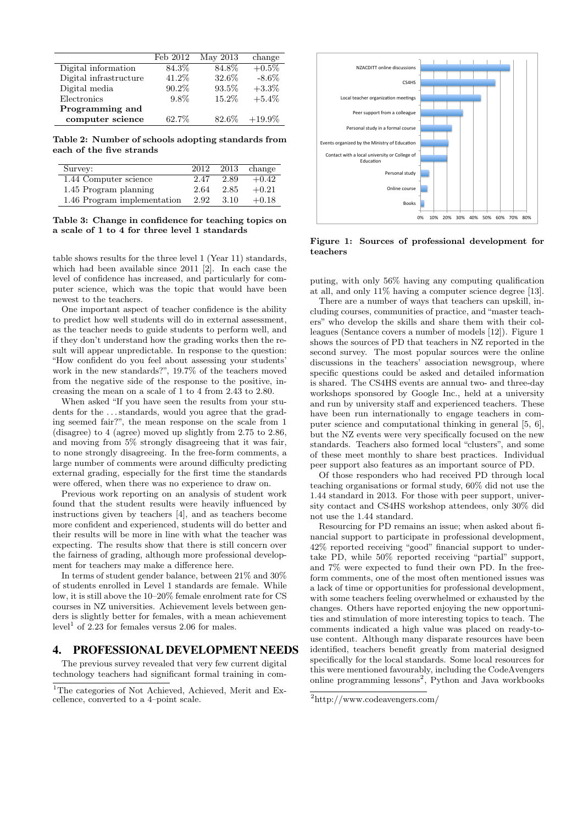|                        | Feb 2012 | May 2013 | change    |
|------------------------|----------|----------|-----------|
| Digital information    | 84.3%    | 84.8%    | $+0.5\%$  |
| Digital infrastructure | 41.2%    | 32.6%    | $-8.6\%$  |
| Digital media          | 90.2%    | 93.5%    | $+3.3\%$  |
| Electronics            | $9.8\%$  | 15.2%    | $+5.4\%$  |
| Programming and        |          |          |           |
| computer science       | 62.7%    | 82.6%    | $+19.9\%$ |

Table 2: Number of schools adopting standards from each of the five strands

| Survey:                     | 2012 | 2013 | change  |
|-----------------------------|------|------|---------|
| 1.44 Computer science       | 2.47 | 2.89 | $+0.42$ |
| 1.45 Program planning       | 2.64 | 2.85 | $+0.21$ |
| 1.46 Program implementation | 2.92 | 3.10 | $+0.18$ |

Table 3: Change in confidence for teaching topics on a scale of 1 to 4 for three level 1 standards

table shows results for the three level 1 (Year 11) standards, which had been available since 2011 [2]. In each case the level of confidence has increased, and particularly for computer science, which was the topic that would have been newest to the teachers.

One important aspect of teacher confidence is the ability to predict how well students will do in external assessment, as the teacher needs to guide students to perform well, and if they don't understand how the grading works then the result will appear unpredictable. In response to the question: "How confident do you feel about assessing your students' work in the new standards?", 19.7% of the teachers moved from the negative side of the response to the positive, increasing the mean on a scale of 1 to 4 from 2.43 to 2.80.

When asked "If you have seen the results from your students for the ...standards, would you agree that the grading seemed fair?", the mean response on the scale from 1 (disagree) to 4 (agree) moved up slightly from 2.75 to 2.86, and moving from 5% strongly disagreeing that it was fair, to none strongly disagreeing. In the free-form comments, a large number of comments were around difficulty predicting external grading, especially for the first time the standards were offered, when there was no experience to draw on.

Previous work reporting on an analysis of student work found that the student results were heavily influenced by instructions given by teachers [4], and as teachers become more confident and experienced, students will do better and their results will be more in line with what the teacher was expecting. The results show that there is still concern over the fairness of grading, although more professional development for teachers may make a difference here.

In terms of student gender balance, between 21% and 30% of students enrolled in Level 1 standards are female. While low, it is still above the 10–20% female enrolment rate for CS courses in NZ universities. Achievement levels between genders is slightly better for females, with a mean achievement  $level<sup>1</sup>$  of 2.23 for females versus 2.06 for males.

# 4. PROFESSIONAL DEVELOPMENT NEEDS

The previous survey revealed that very few current digital technology teachers had significant formal training in com-



Figure 1: Sources of professional development for teachers

puting, with only 56% having any computing qualification at all, and only 11% having a computer science degree [13].

There are a number of ways that teachers can upskill, including courses, communities of practice, and "master teachers" who develop the skills and share them with their colleagues (Sentance covers a number of models [12]). Figure 1 shows the sources of PD that teachers in NZ reported in the second survey. The most popular sources were the online discussions in the teachers' association newsgroup, where specific questions could be asked and detailed information is shared. The CS4HS events are annual two- and three-day workshops sponsored by Google Inc., held at a university and run by university staff and experienced teachers. These have been run internationally to engage teachers in computer science and computational thinking in general [5, 6], but the NZ events were very specifically focused on the new standards. Teachers also formed local "clusters", and some of these meet monthly to share best practices. Individual peer support also features as an important source of PD.

Of those responders who had received PD through local teaching organisations or formal study, 60% did not use the 1.44 standard in 2013. For those with peer support, university contact and CS4HS workshop attendees, only 30% did not use the 1.44 standard.

Resourcing for PD remains an issue; when asked about financial support to participate in professional development, 42% reported receiving "good" financial support to undertake PD, while 50% reported receiving "partial" support, and 7% were expected to fund their own PD. In the freeform comments, one of the most often mentioned issues was a lack of time or opportunities for professional development, with some teachers feeling overwhelmed or exhausted by the changes. Others have reported enjoying the new opportunities and stimulation of more interesting topics to teach. The comments indicated a high value was placed on ready-touse content. Although many disparate resources have been identified, teachers benefit greatly from material designed specifically for the local standards. Some local resources for this were mentioned favourably, including the CodeAvengers online programming lessons<sup>2</sup>, Python and Java workbooks

<sup>&</sup>lt;sup>1</sup>The categories of Not Achieved, Achieved, Merit and Excellence, converted to a 4–point scale.

<sup>2</sup>http://www.codeavengers.com/